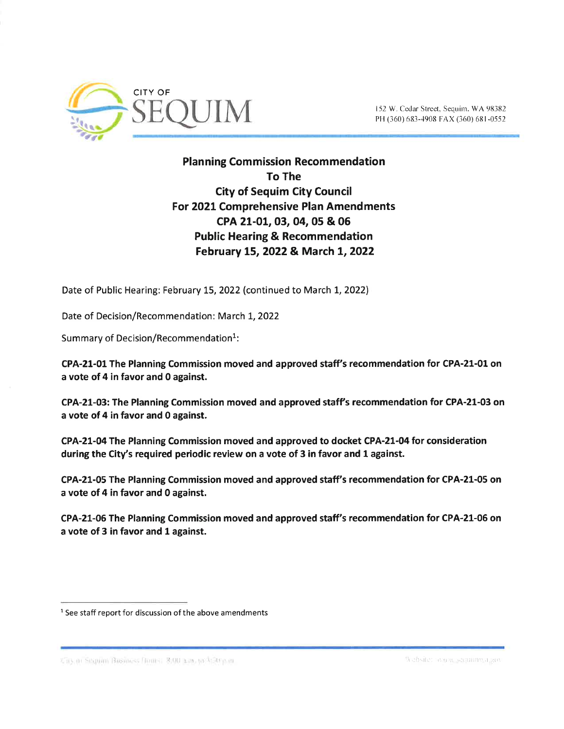

PH (360) 683-4908 FAX (360) 681-0552

## **Planning Commission Recommendation** To The City of Sequim City Council For 2021 Comprehensive Plan Amendments cPA 21-01,03,04, 05 & 06 Public Hearing & Recommendation February L5,2022& March L,2022

Date of Public Hearing: February 15, 2022 (continued to March 1, 2022)

Date of Decision/Recommendation: March 1, 2022

Summary of Decision/Recommendation<sup>1</sup>:

CPA-21-01 The Planning Commission moved and approved staff's recommendation for CPA-21-01 on a vote of 4 in favor and 0 against.

CPA-21-03: The Planning Commission moved and approved staffs recommendation for CPA-21-03 on a vote of 4 in favor and 0 against.

CPA-21-04 The Planning Commission moved and approved to docket CPA-21-04 for consideration during the City's required periodic review on a vote of 3 in favor and 1 against.

CPA-21-05 The Planning Commission moved and approved staff's recommendation for CPA-21-05 on a vote of 4 in favor and 0 against.

CPA-21-06 The Planning Commission moved and approved staff's recommendation for CPA-21-06 on a vote of 3 in favor and 1 against.

GB at Sequim Business Bourst 8:00 nm, to \$50 p.m.

 $<sup>1</sup>$  See staff report for discussion of the above amendments</sup>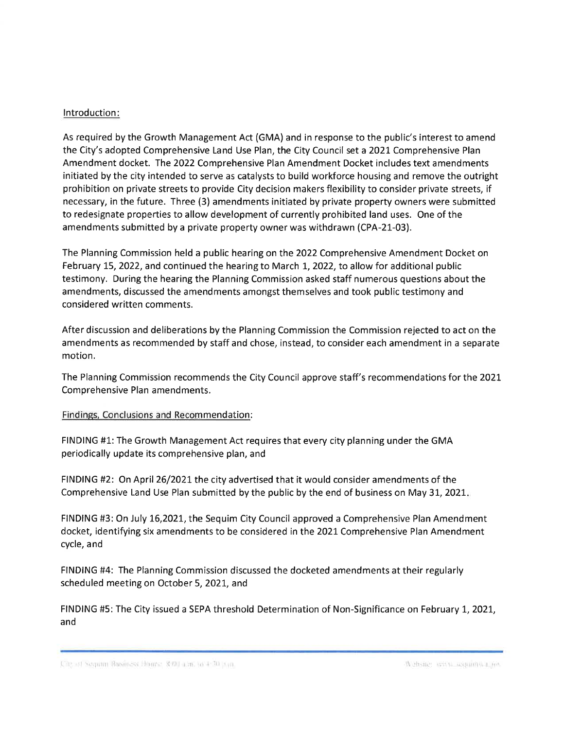## lntroduction:

As required by the Growth Management Act (GMA) and in response to the public's interest to amend the City's adopted Comprehensive Land Use Plan, the City Council set a 2021 Comprehensive Plan Amendment docket. the 2O22 Comprehensive Plan Amendment Docket includes text amendments initiated by the city intended to serve as catalysts to build workforce housing and remove the outright prohibition on private streets to provide City decision makers flexibility to consider private streets, if necessary, in the future. Three (3) amendments initiated by private property owners were submitted to redesignate properties to allow development of currently prohibited land uses. One of the amendments submitted by a private property owner was withdrawn (CPA-21-03).

The Planning Commission held a public hearing on the 2022 Comprehensive Amendment Docket on February 15, 2022, and continued the hearing to March 1, 2022, to allow for additional public testimony. During the hearing the Planning Commission asked staff numerous questions about the amendments, discussed the amendments amongst themselves and took public testimony and considered written comments.

After discussion and deliberations by the Planning Commission the Commission rejected to act on the amendments as recommended by staff and chose, instead, to consider each amendment in a separate motion.

The Planning Commission recommends the City Council approve staff's recommendations for the 2021- Comprehensive Plan amendments.

## Findings, Conclusions and Recommendation:

FINDING #1: The Growth Management Act requires that every city planning under the GMA periodically update its comprehensive plan, and

FINDING #2: On April 26/2021 the city advertised that it would consider amendments of the Comprehensive Land Use Plan submitted by the public by the end of business on May 3L,2O2L

FINDING #3: On July 16,202L, the Sequim City Council approved a Comprehensive Plan Amendment docket, identifying six amendments to be considered in the 2021 Comprehensive Plan Amendment cycle, and

FINDING #4: The Planning Commission discussed the docketed amendments at their regularly scheduled meeting on October 5,202I, and

FINDING #5: The City issued a SEPA threshold Determination of Non-Significance on February 1, 2021, and

<sup>,¡</sup> ¡r ,1;1 ìr,¡.,, .¡.,.. iti¡1 , i i'i r t¡. :. l' I'r.;t, ,, r .:, ,:!'t .: ,'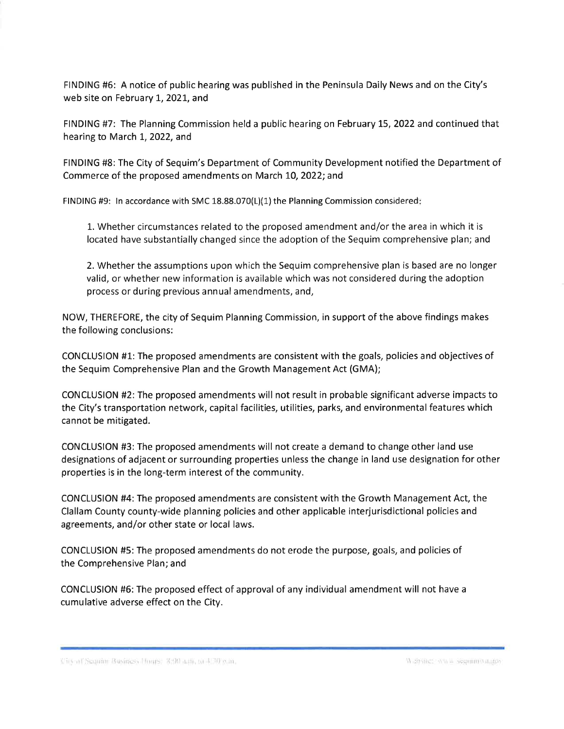FINDING #6: A notice of public hearing was published in the Peninsula Daily News and on the City's web site on February 1, 2021, and

FINDING #7: The Planning Commission held a public hearing on February L5,2022 and continued that hearing to March 1, 2022, and

FINDING #8: The City of Sequim's Department of Community Development notified the Department of Commerce of the proposed amendments on March L0,2O22; and

FINDING #9: In accordance with SMC  $18.88.070(L)(1)$  the Planning Commission considered:

1. Whether circumstances related to the proposed amendment and/or the area in which it is located have substantially changed since the adoption of the Sequim comprehensive plan; and

2. Whether the assumptions upon which the Sequim comprehensive plan is based are no longer valid, or whether new information is available which was not considered during the adoption process or during previous annual amendments, and,

NOW, THEREFORE, the city of Sequim Planning Commission, in support of the above findings makes the following conclusions:

CONCLUSION #L: The proposed amendments are consistent with the goals, policies and objectives of the Sequim Comprehensive Plan and the Growth Management Act (GMA);

CONCLUSION #2: The proposed amendments will not result in probable significant adverse impacts to the City's transportation network, capital facilities, utilities, parks, and environmental features which cannot be mitigated.

CONCLUSION #3: The proposed amendments will not create a demand to change other land use designations of adjacent or surrounding properties unless the change in land use designation for other properties is in the long-term interest of the community.

CONCLUSION #4: The proposed amendments are consistent with the Growth Management Act, the Clallam County county-wide planning policies and other applicable interjurisdictional policies and agreements, and/or other state or local laws.

CONCLUSION #5: The proposed amendments do not erode the purpose, goals, and policies of the Comprehensive Plan; and

CONCLUSION #6: The proposed effect of approval of any individual amendment will not have <sup>a</sup> cumulative adverse effect on the City.

City of Sequine Business Prouts: 3:00 a.m. to 4:30 p.m.